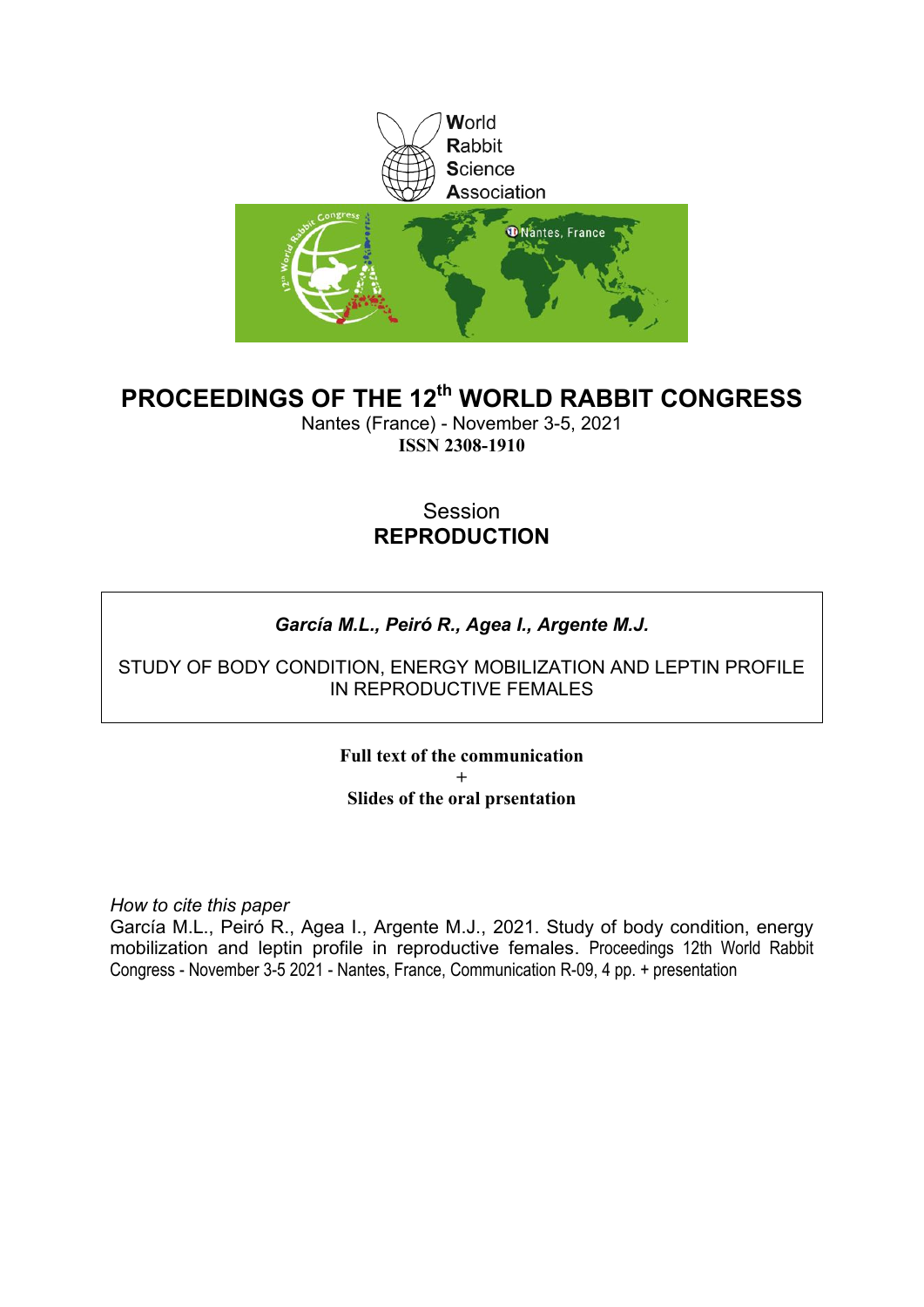

### **PROCEEDINGS OF THE 12th WORLD RABBIT CONGRESS**

Nantes (France) - November 3-5, 2021 **ISSN 2308-1910**

#### Session **REPRODUCTION**

#### *García M.L., Peiró R., Agea I., Argente M.J.*

#### STUDY OF BODY CONDITION, ENERGY MOBILIZATION AND LEPTIN PROFILE IN REPRODUCTIVE FEMALES

**Full text of the communication + Slides of the oral prsentation**

*How to cite this paper*

García M.L., Peiró R., Agea I., Argente M.J., 2021. Study of body condition, energy mobilization and leptin profile in reproductive females. Proceedings 12th World Rabbit Congress - November 3-5 2021 - Nantes, France, Communication R-09, 4 pp. + presentation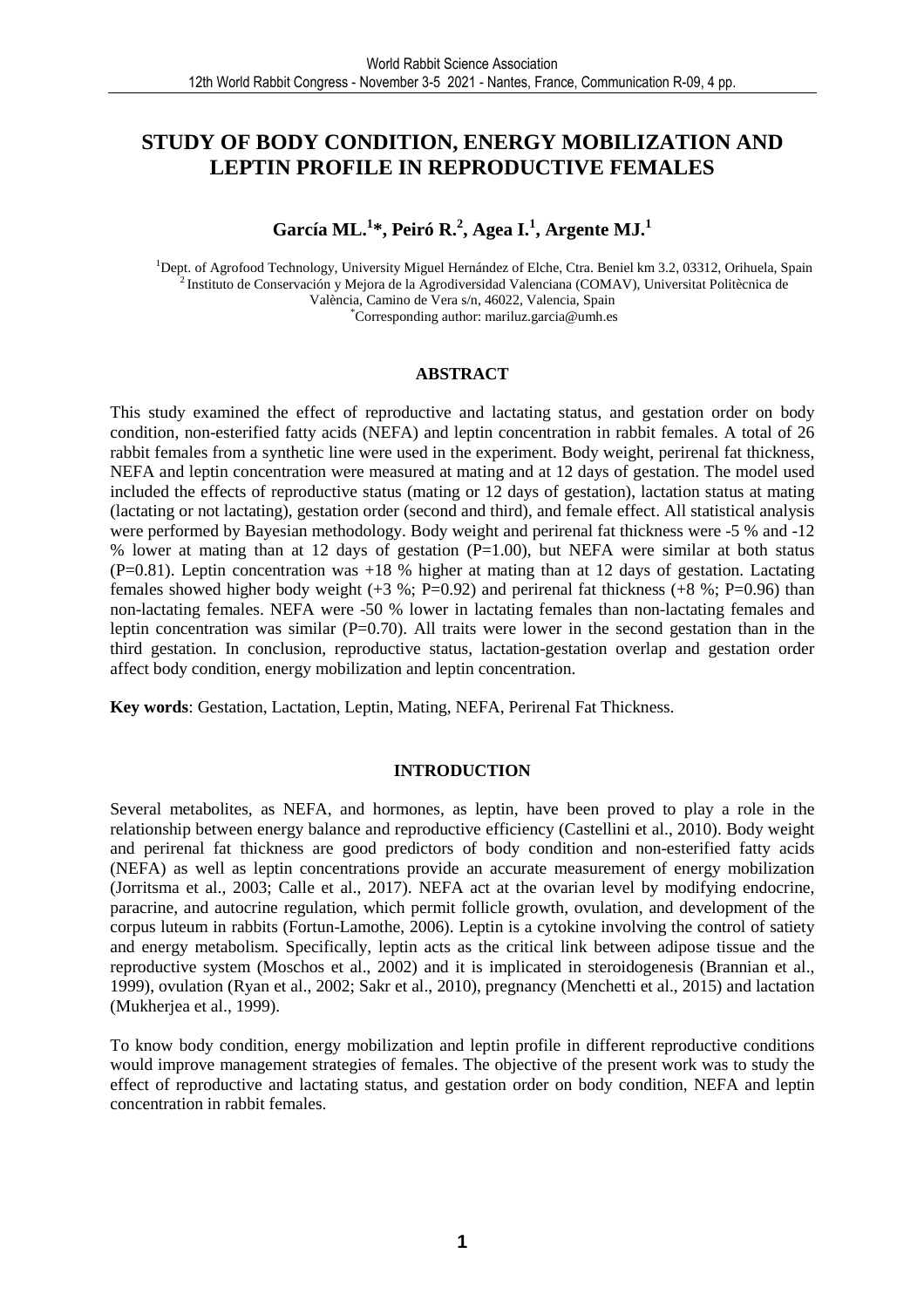#### **STUDY OF BODY CONDITION, ENERGY MOBILIZATION AND LEPTIN PROFILE IN REPRODUCTIVE FEMALES**

**García ML.<sup>1</sup> \*, Peiró R.<sup>2</sup> , Agea I.<sup>1</sup> , Argente MJ.<sup>1</sup>**

<sup>1</sup>Dept. of Agrofood Technology, University Miguel Hernández of Elche, Ctra. Beniel km 3.2, 03312, Orihuela, Spain <sup>2</sup> Instituto de Conservación y Mejora de la Agrodiversidad Valenciana (COMAV), Universitat Politècnica de València, Camino de Vera s/n, 46022, Valencia, Spain \*Corresponding author: mariluz.garcia@umh.es

#### **ABSTRACT**

This study examined the effect of reproductive and lactating status, and gestation order on body condition, non-esterified fatty acids (NEFA) and leptin concentration in rabbit females. A total of 26 rabbit females from a synthetic line were used in the experiment. Body weight, perirenal fat thickness, NEFA and leptin concentration were measured at mating and at 12 days of gestation. The model used included the effects of reproductive status (mating or 12 days of gestation), lactation status at mating (lactating or not lactating), gestation order (second and third), and female effect. All statistical analysis were performed by Bayesian methodology. Body weight and perirenal fat thickness were -5 % and -12 % lower at mating than at 12 days of gestation (P=1.00), but NEFA were similar at both status  $(P=0.81)$ . Leptin concentration was  $+18$  % higher at mating than at 12 days of gestation. Lactating females showed higher body weight  $(+3 \%)$ ; P=0.92) and perirenal fat thickness  $(+8 \%)$ ; P=0.96) than non-lactating females. NEFA were -50 % lower in lactating females than non-lactating females and leptin concentration was similar (P=0.70). All traits were lower in the second gestation than in the third gestation. In conclusion, reproductive status, lactation-gestation overlap and gestation order affect body condition, energy mobilization and leptin concentration.

**Key words**: Gestation, Lactation, Leptin, Mating, NEFA, Perirenal Fat Thickness.

#### **INTRODUCTION**

Several metabolites, as NEFA, and hormones, as leptin, have been proved to play a role in the relationship between energy balance and reproductive efficiency (Castellini et al., 2010). Body weight and perirenal fat thickness are good predictors of body condition and non-esterified fatty acids (NEFA) as well as leptin concentrations provide an accurate measurement of energy mobilization (Jorritsma et al., 2003; Calle et al., 2017). NEFA act at the ovarian level by modifying endocrine, paracrine, and autocrine regulation, which permit follicle growth, ovulation, and development of the corpus luteum in rabbits (Fortun-Lamothe, 2006). Leptin is a cytokine involving the control of satiety and energy metabolism. Specifically, leptin acts as the critical link between adipose tissue and the reproductive system (Moschos et al., 2002) and it is implicated in steroidogenesis (Brannian et al., 1999), ovulation (Ryan et al., 2002; Sakr et al., 2010), pregnancy (Menchetti et al., 2015) and lactation (Mukherjea et al., 1999).

To know body condition, energy mobilization and leptin profile in different reproductive conditions would improve management strategies of females. The objective of the present work was to study the effect of reproductive and lactating status, and gestation order on body condition, NEFA and leptin concentration in rabbit females.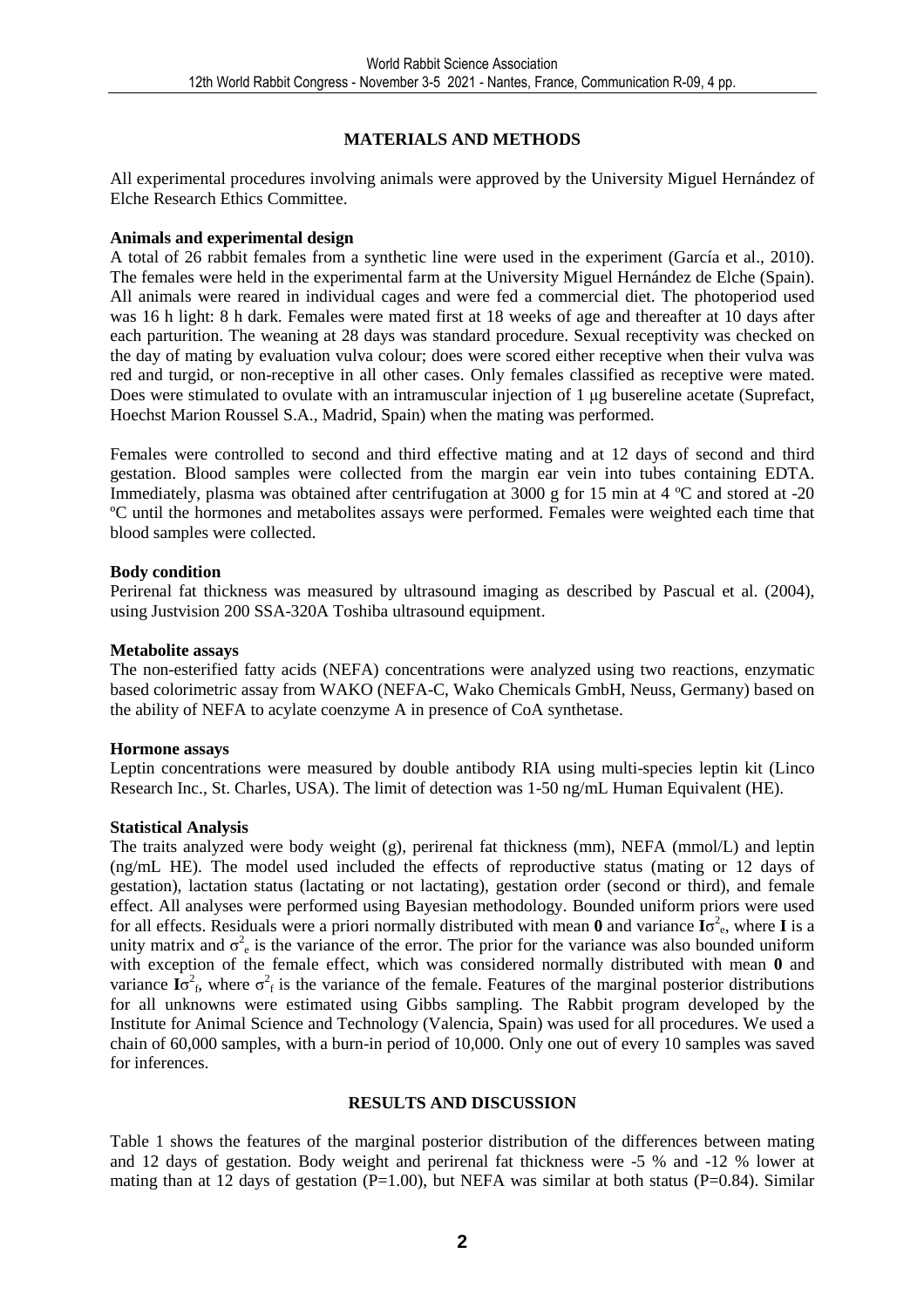#### **MATERIALS AND METHODS**

All experimental procedures involving animals were approved by the University Miguel Hernández of Elche Research Ethics Committee.

#### **Animals and experimental design**

A total of 26 rabbit females from a synthetic line were used in the experiment (García et al., 2010). The females were held in the experimental farm at the University Miguel Hernández de Elche (Spain). All animals were reared in individual cages and were fed a commercial diet. The photoperiod used was 16 h light: 8 h dark. Females were mated first at 18 weeks of age and thereafter at 10 days after each parturition. The weaning at 28 days was standard procedure. Sexual receptivity was checked on the day of mating by evaluation vulva colour; does were scored either receptive when their vulva was red and turgid, or non-receptive in all other cases. Only females classified as receptive were mated. Does were stimulated to ovulate with an intramuscular injection of 1 µg busereline acetate (Suprefact, Hoechst Marion Roussel S.A., Madrid, Spain) when the mating was performed.

Females were controlled to second and third effective mating and at 12 days of second and third gestation. Blood samples were collected from the margin ear vein into tubes containing EDTA. Immediately, plasma was obtained after centrifugation at 3000 g for 15 min at 4 ºC and stored at -20 ºC until the hormones and metabolites assays were performed. Females were weighted each time that blood samples were collected.

#### **Body condition**

Perirenal fat thickness was measured by ultrasound imaging as described by Pascual et al. (2004), using Justvision 200 SSA-320A Toshiba ultrasound equipment.

#### **Metabolite assays**

The non-esterified fatty acids (NEFA) concentrations were analyzed using two reactions, enzymatic based colorimetric assay from WAKO (NEFA-C, Wako Chemicals GmbH, Neuss, Germany) based on the ability of NEFA to acylate coenzyme A in presence of CoA synthetase.

#### **Hormone assays**

Leptin concentrations were measured by double antibody RIA using multi-species leptin kit (Linco Research Inc., St. Charles, USA). The limit of detection was 1-50 ng/mL Human Equivalent (HE).

#### **Statistical Analysis**

The traits analyzed were body weight (g), perirenal fat thickness (mm), NEFA (mmol/L) and leptin (ng/mL HE). The model used included the effects of reproductive status (mating or 12 days of gestation), lactation status (lactating or not lactating), gestation order (second or third), and female effect. All analyses were performed using Bayesian methodology. Bounded uniform priors were used for all effects. Residuals were a priori normally distributed with mean **0** and variance **I**σ 2 e , where **I** is a unity matrix and  $\sigma^2$  is the variance of the error. The prior for the variance was also bounded uniform with exception of the female effect, which was considered normally distributed with mean **0** and variance  $I\sigma_f^2$ , where  $\sigma_f^2$  is the variance of the female. Features of the marginal posterior distributions for all unknowns were estimated using Gibbs sampling. The Rabbit program developed by the Institute for Animal Science and Technology (Valencia, Spain) was used for all procedures. We used a chain of 60,000 samples, with a burn-in period of 10,000. Only one out of every 10 samples was saved for inferences.

#### **RESULTS AND DISCUSSION**

Table 1 shows the features of the marginal posterior distribution of the differences between mating and 12 days of gestation. Body weight and perirenal fat thickness were -5 % and -12 % lower at mating than at 12 days of gestation  $(P=1.00)$ , but NEFA was similar at both status  $(P=0.84)$ . Similar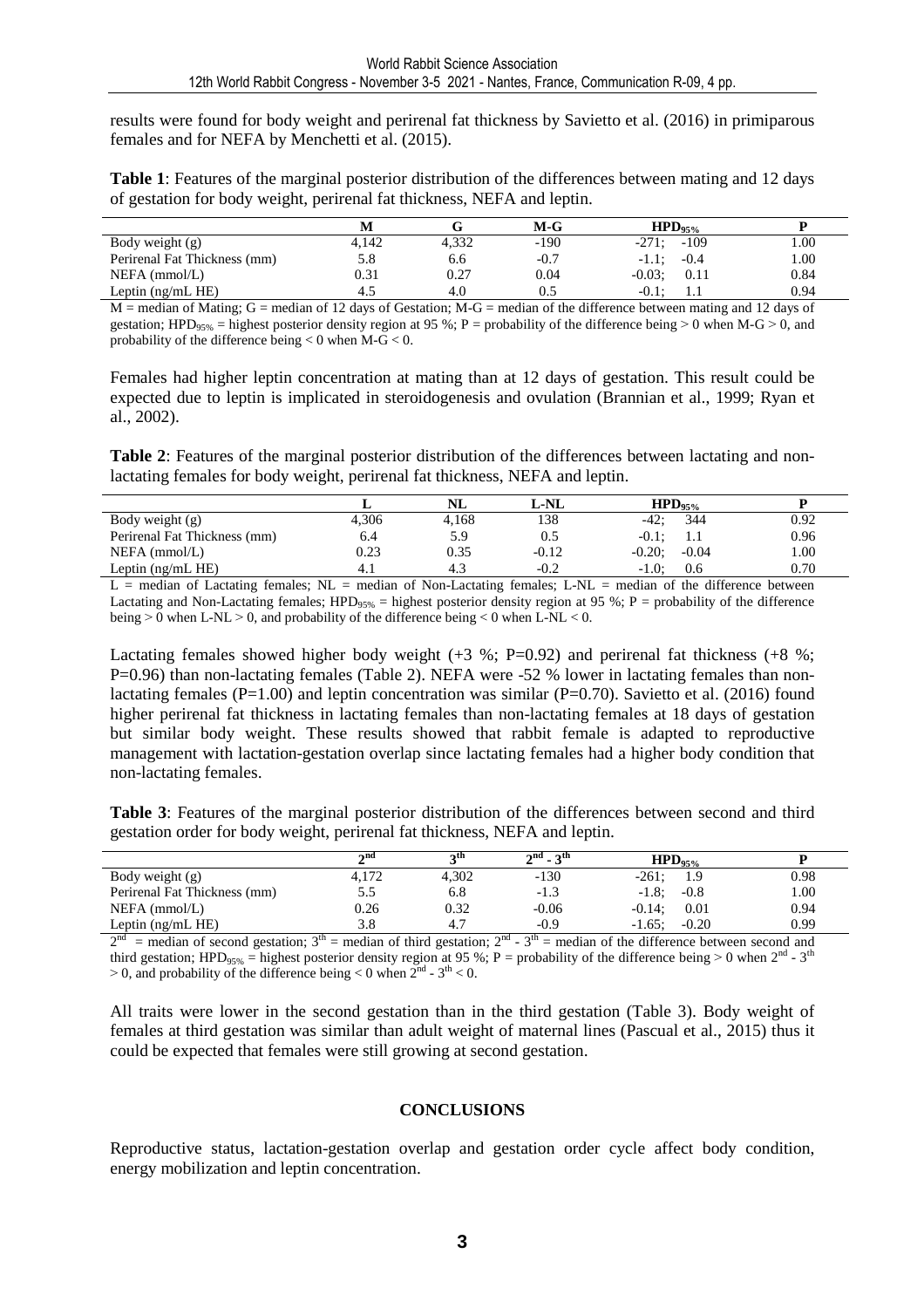results were found for body weight and perirenal fat thickness by Savietto et al. (2016) in primiparous females and for NEFA by Menchetti et al. (2015).

**Table 1**: Features of the marginal posterior distribution of the differences between mating and 12 days of gestation for body weight, perirenal fat thickness, NEFA and leptin.

|                              |       |       | $M-G$  | $HPD_{95\%}$      |      |
|------------------------------|-------|-------|--------|-------------------|------|
| Body weight (g)              | 4.142 | 4,332 | $-190$ | $-109$<br>$-271:$ | 1.00 |
| Perirenal Fat Thickness (mm) | 5.8   | 6.6   | $-0.7$ | $-0.4$<br>$-1.1:$ | 1.00 |
| $NEFA$ (mmol/L)              | 0.31  | 0.27  | 0.04   | $-0.03$ ;<br>0.11 | 0.84 |
| Leptin $(ng/mLHE)$           | 4.5   | 4.0   | 0.5    | $-0.1$ :<br>      | 0.94 |

 $M =$  median of Mating; G = median of 12 days of Gestation; M-G = median of the difference between mating and 12 days of gestation; HPD<sub>95%</sub> = highest posterior density region at 95 %; P = probability of the difference being > 0 when M-G > 0, and probability of the difference being  $< 0$  when M-G  $< 0$ .

Females had higher leptin concentration at mating than at 12 days of gestation. This result could be expected due to leptin is implicated in steroidogenesis and ovulation (Brannian et al., 1999; Ryan et al., 2002).

**Table 2**: Features of the marginal posterior distribution of the differences between lactating and nonlactating females for body weight, perirenal fat thickness, NEFA and leptin.

|                              |       | NL    | L-NL    | $HPD_{95\%}$         |          |
|------------------------------|-------|-------|---------|----------------------|----------|
| Body weight (g)              | 4.306 | 4,168 | 138     | 344<br>$-42:$        | 0.92     |
| Perirenal Fat Thickness (mm) | 6.4   | 5.9   | 0.5     | $-0.1$<br>1.1        | 0.96     |
| $NEFA$ (mmol/L)              | 0.23  | 0.35  | $-0.12$ | $-0.20$ ;<br>$-0.04$ | $1.00\,$ |
| Leptin $(ng/mL$ HE)          | 4.1   | 4.3   | $-0.2$  | $-1.0$<br>0.6        | 0.70     |

L = median of Lactating females; NL = median of Non-Lactating females; L-NL = median of the difference between Lactating and Non-Lactating females;  $HPD_{95\%}$  = highest posterior density region at 95 %; P = probability of the difference being  $> 0$  when L-NL  $> 0$ , and probability of the difference being  $< 0$  when L-NL  $< 0$ .

Lactating females showed higher body weight  $(+3\%; P=0.92)$  and perirenal fat thickness  $(+8\%; P=0.92)$ P=0.96) than non-lactating females (Table 2). NEFA were -52 % lower in lactating females than nonlactating females (P=1.00) and leptin concentration was similar (P=0.70). Savietto et al. (2016) found higher perirenal fat thickness in lactating females than non-lactating females at 18 days of gestation but similar body weight. These results showed that rabbit female is adapted to reproductive management with lactation-gestation overlap since lactating females had a higher body condition that non-lactating females.

**Table 3**: Features of the marginal posterior distribution of the differences between second and third gestation order for body weight, perirenal fat thickness, NEFA and leptin.

|                              | $\boldsymbol{\gamma}$ nd | ռա    | $2^{nd}$ - $3^{th}$ | $HPD_{95\%}$ |         |      |
|------------------------------|--------------------------|-------|---------------------|--------------|---------|------|
| Body weight (g)              | 4,172                    | 4.302 | $-130$              | $-261:$      |         | 0.98 |
| Perirenal Fat Thickness (mm) | 5.5                      | 6.8   | $-1.3$              | $-1.8$ ;     | $-0.8$  | 00.1 |
| $NEFA$ (mmol/L)              | 0.26                     | 0.32  | $-0.06$             | $-0.14:$     | 0.01    | 0.94 |
| Leptin $(ng/mL HE)$          | 3.8                      |       | $-0.9$              | $-1.65:$     | $-0.20$ | 0.99 |

 $2^{nd}$  = median of second gestation;  $3^{th}$  = median of third gestation;  $2^{nd}$  -  $3^{th}$  = median of the difference between second and third gestation; HPD<sub>95%</sub> = highest posterior density region at 95 %; P = probability of the difference being > 0 when 2<sup>nd</sup> - 3<sup>th</sup>  $> 0$ , and probability of the difference being  $< 0$  when  $2<sup>nd</sup> - 3<sup>th</sup> < 0$ .

All traits were lower in the second gestation than in the third gestation (Table 3). Body weight of females at third gestation was similar than adult weight of maternal lines (Pascual et al., 2015) thus it could be expected that females were still growing at second gestation.

#### **CONCLUSIONS**

Reproductive status, lactation-gestation overlap and gestation order cycle affect body condition, energy mobilization and leptin concentration.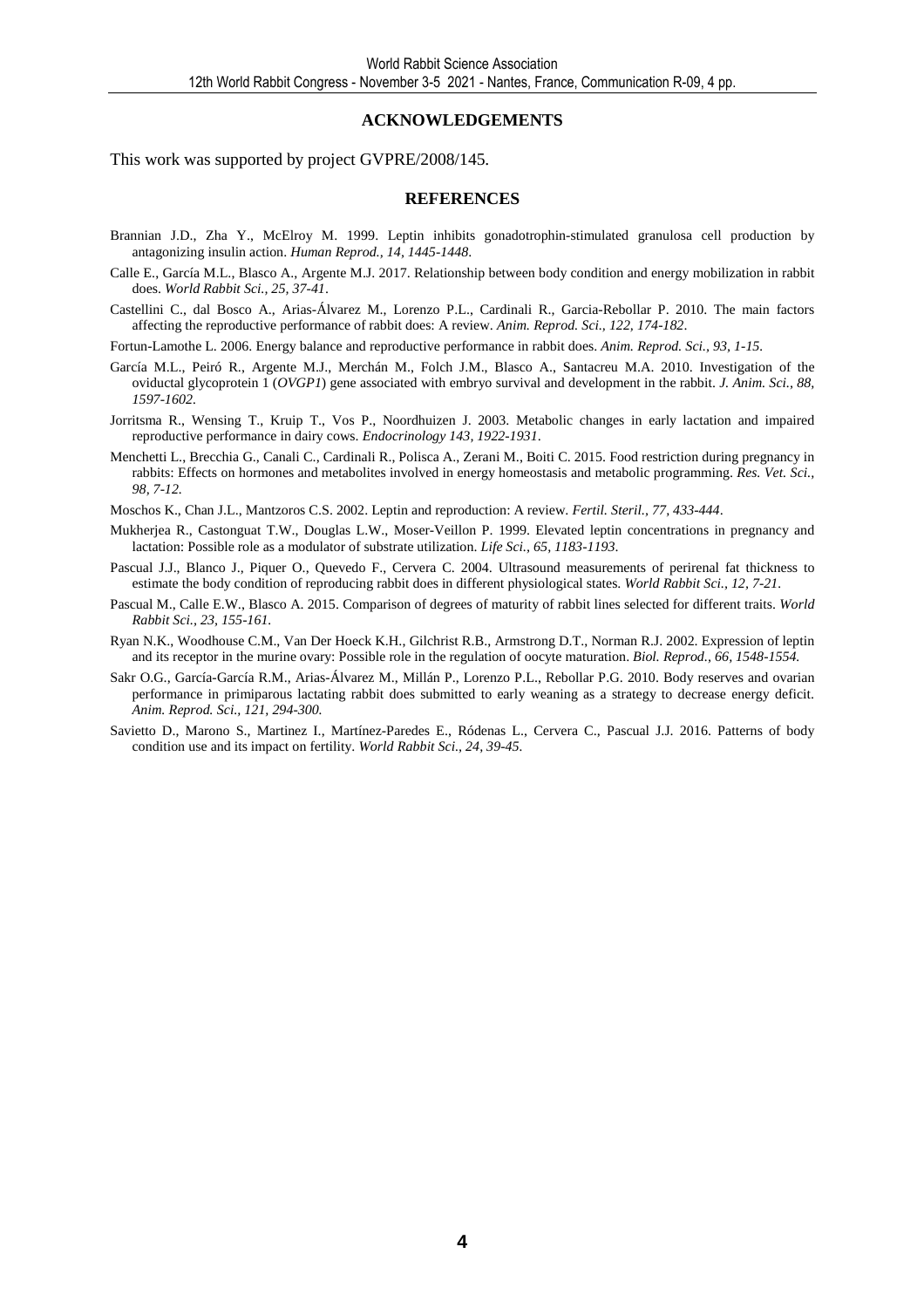#### **ACKNOWLEDGEMENTS**

This work was supported by project GVPRE/2008/145.

#### **REFERENCES**

- Brannian J.D., Zha Y., McElroy M. 1999. Leptin inhibits gonadotrophin-stimulated granulosa cell production by antagonizing insulin action. *Human Reprod., 14, 1445-1448*.
- Calle E., García M.L., Blasco A., Argente M.J. 2017. Relationship between body condition and energy mobilization in rabbit does. *World Rabbit Sci., 25, 37-41*.
- Castellini C., dal Bosco A., Arias-Álvarez M., Lorenzo P.L., Cardinali R., Garcia-Rebollar P. 2010. The main factors affecting the reproductive performance of rabbit does: A review. *Anim. Reprod. Sci., 122, 174-182*.

Fortun-Lamothe L. 2006. Energy balance and reproductive performance in rabbit does. *Anim. Reprod. Sci., 93, 1-15.* 

- García M.L., Peiró R., Argente M.J., Merchán M., Folch J.M., Blasco A., Santacreu M.A. 2010. Investigation of the oviductal glycoprotein 1 (*OVGP1*) gene associated with embryo survival and development in the rabbit. *J. Anim. Sci., 88, 1597-1602.*
- Jorritsma R., Wensing T., Kruip T., Vos P., Noordhuizen J. 2003. Metabolic changes in early lactation and impaired reproductive performance in dairy cows. *Endocrinology 143, 1922-1931*.
- Menchetti L., Brecchia G., Canali C., Cardinali R., Polisca A., Zerani M., Boiti C. 2015. Food restriction during pregnancy in rabbits: Effects on hormones and metabolites involved in energy homeostasis and metabolic programming. *Res. Vet. Sci., 98, 7-12.*
- Moschos K., Chan J.L., Mantzoros C.S. 2002. Leptin and reproduction: A review. *Fertil. Steril., 77, 433-444*.
- Mukherjea R., Castonguat T.W., Douglas L.W., Moser-Veillon P. 1999. Elevated leptin concentrations in pregnancy and lactation: Possible role as a modulator of substrate utilization. *Life Sci., 65, 1183-1193*.
- Pascual J.J., Blanco J., Piquer O., Quevedo F., Cervera C. 2004. Ultrasound measurements of perirenal fat thickness to estimate the body condition of reproducing rabbit does in different physiological states. *World Rabbit Sci., 12, 7-21.*
- Pascual M., Calle E.W., Blasco A. 2015. Comparison of degrees of maturity of rabbit lines selected for different traits. *World Rabbit Sci., 23, 155-161.*
- Ryan N.K., Woodhouse C.M., Van Der Hoeck K.H., Gilchrist R.B., Armstrong D.T., Norman R.J. 2002. Expression of leptin and its receptor in the murine ovary: Possible role in the regulation of oocyte maturation. *Biol. Reprod., 66, 1548-1554.*
- Sakr O.G., García-García R.M., Arias-Álvarez M., Millán P., Lorenzo P.L., Rebollar P.G. 2010. Body reserves and ovarian performance in primiparous lactating rabbit does submitted to early weaning as a strategy to decrease energy deficit. *Anim. Reprod. Sci., 121, 294-300.*
- Savietto D., Marono S., Martinez I., Martínez-Paredes E., Ródenas L., Cervera C., Pascual J.J. 2016. Patterns of body condition use and its impact on fertility. *World Rabbit Sci., 24, 39-45.*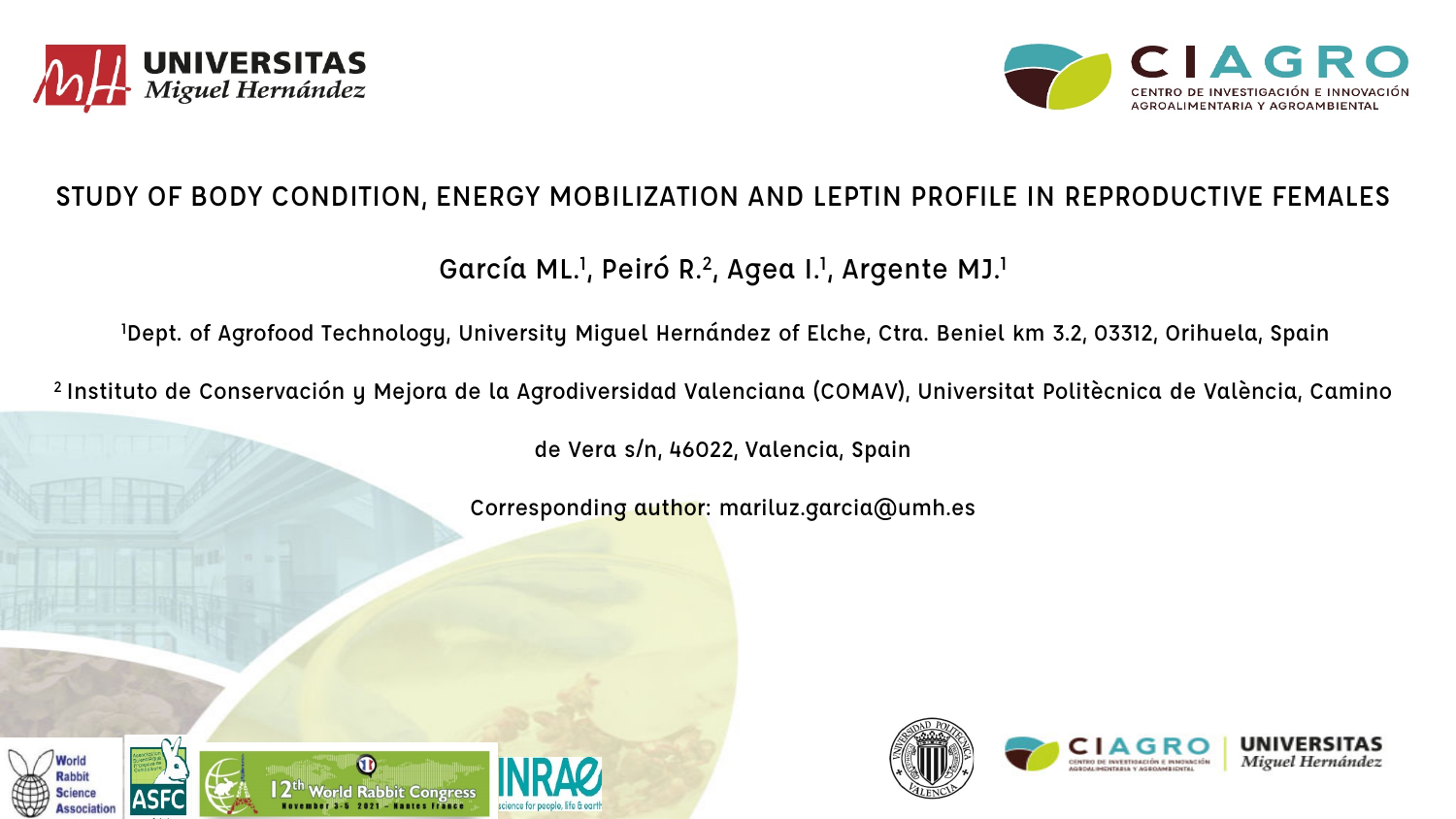



### STUDY OF BODY CONDITION, ENERGY MOBILIZATION AND LEPTIN PROFILE IN REPRODUCTIVE FEMALES

## García ML.<sup>1</sup>, Peiró R.<sup>2</sup>, Agea I.<sup>1</sup>, Argente MJ.<sup>1</sup>

1 Dept. of Agrofood Technology, University Miguel Hernández of Elche, Ctra. Beniel km 3.2, 03312, Orihuela, Spain

2 Instituto de Conservación y Mejora de la Agrodiversidad Valenciana (COMAV), Universitat Politècnica de València, Camino

de Vera s/n, 46022, Valencia, Spain

Corresponding author: mariluz.garcia@umh.es





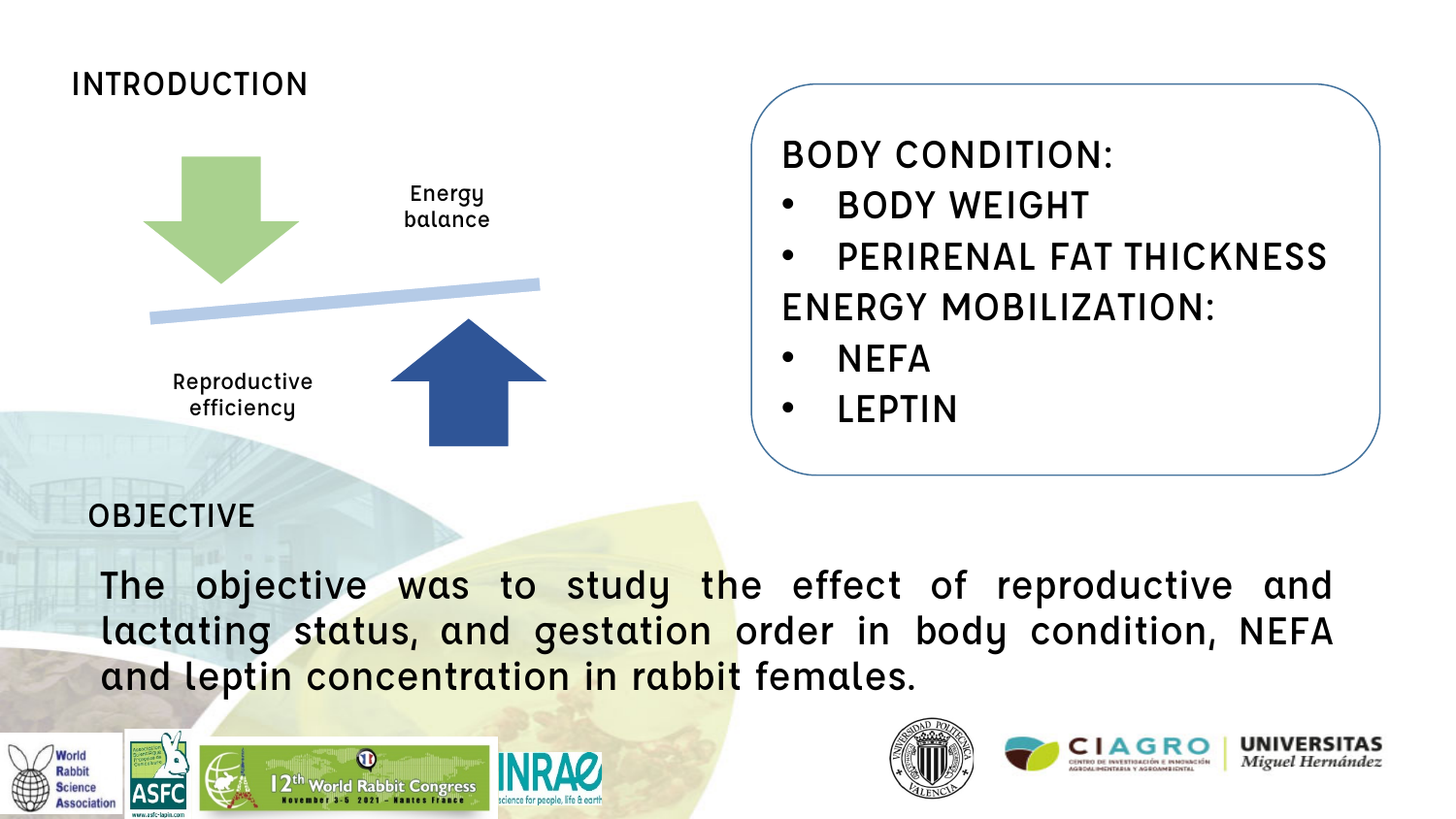## INTRODUCTION



BODY CONDITION:

- BODY WEIGHT
- PERIRENAL FAT THICKNESS ENERGY MOBILIZATION:
- NEFA
- LEPTIN

## **OBJECTIVE**

The objective was to study the effect of reproductive and lactating status, and gestation order in body condition, NEFA and leptin concentration in rabbit females.









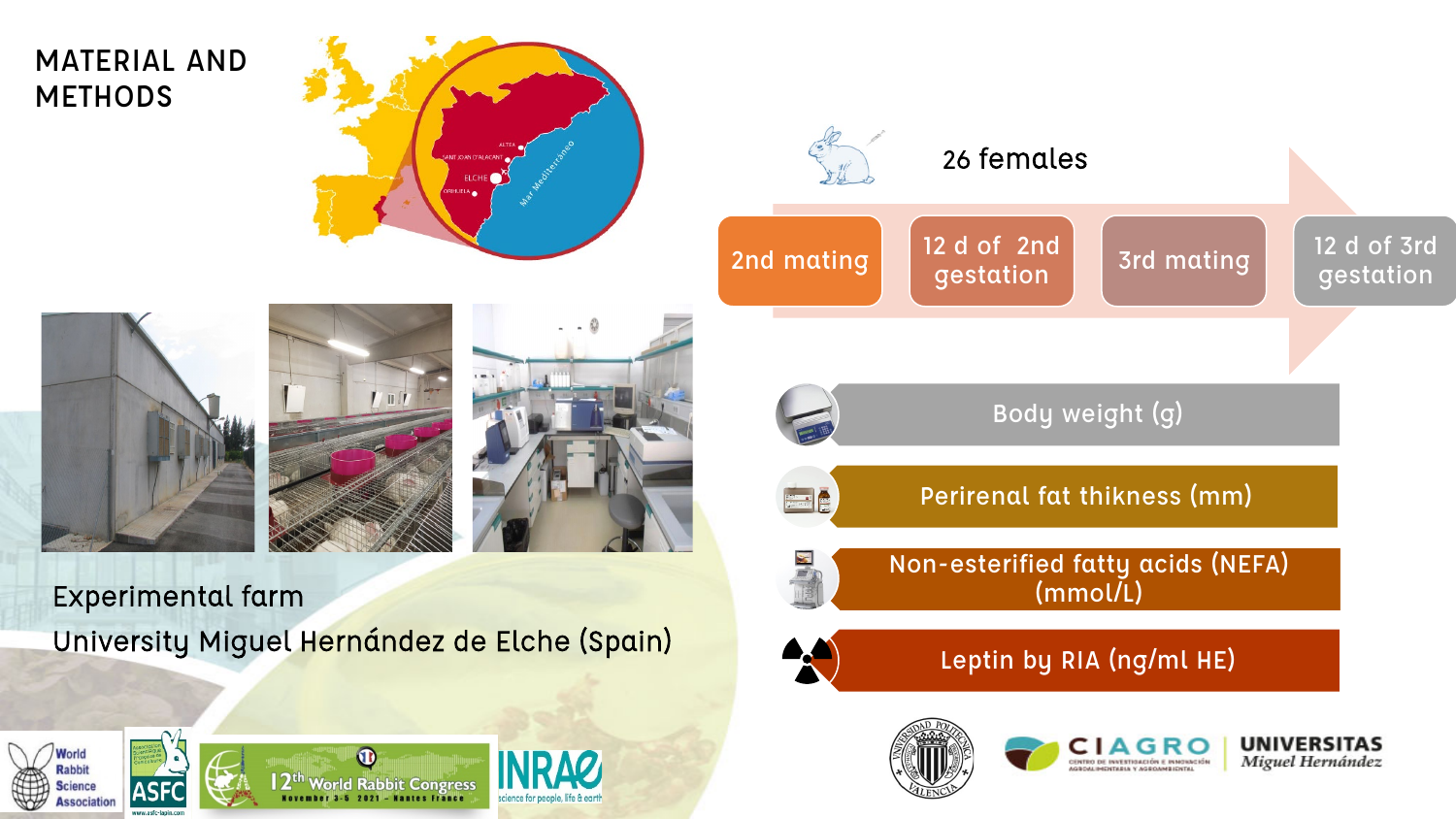## MATERIAL AND **METHODS**











gestation Body weight (g) Perirenal fat thikness (mm) Non-esterified fatty acids (NEFA) (mmol/L) Leptin by RIA (ng/ml HE)**UNIVERSITAS** CENTRO DE INVESTIGACIÓN E INMOVACIÓN







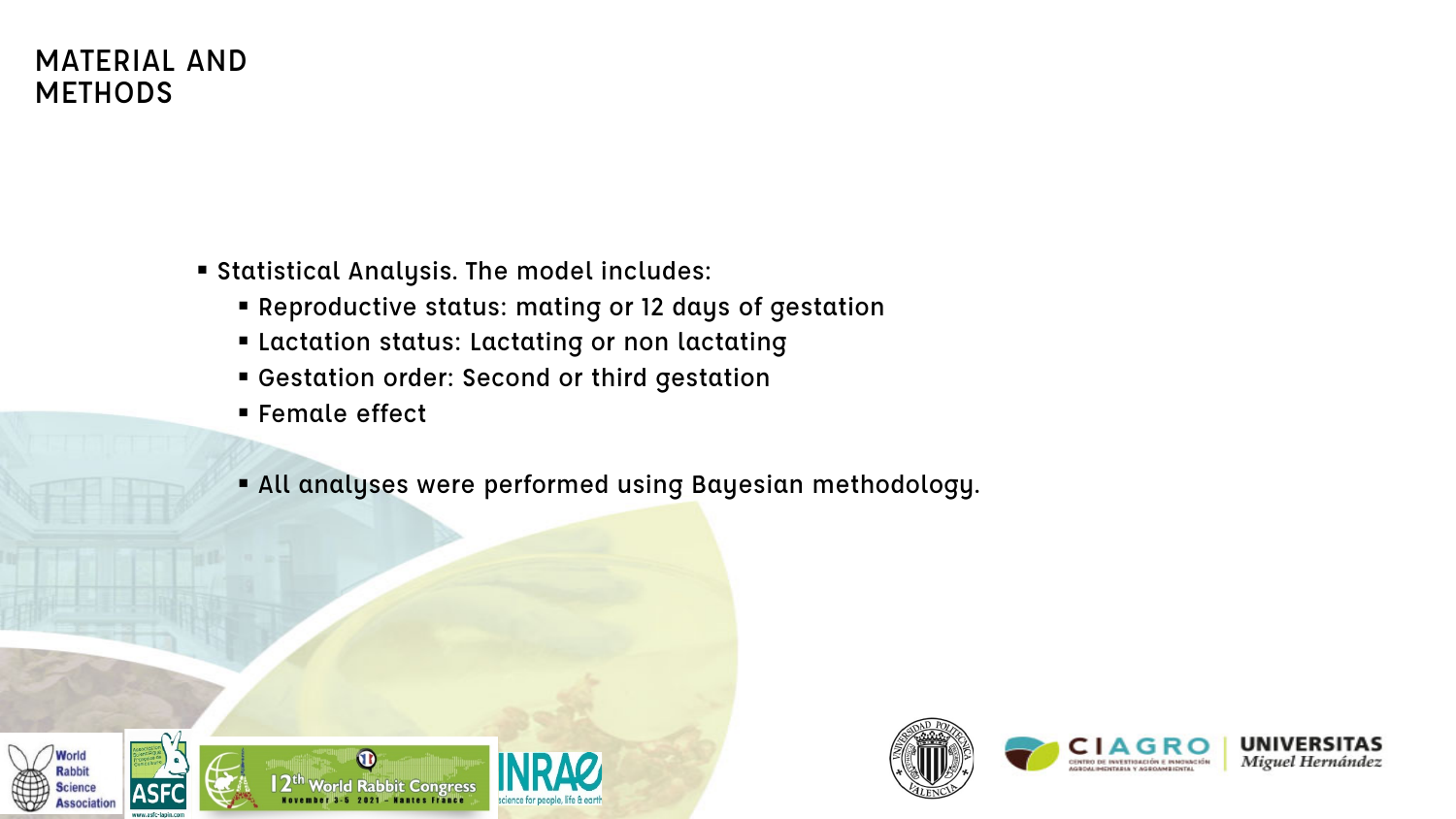## MATERIAL AND **METHODS**

- Statistical Analysis. The model includes:
	- Reproductive status: mating or 12 days of gestation
	- Lactation status: Lactating or non lactating
	- Gestation order: Second or third gestation
	- **Female effect**
	- All analyses were performed using Bayesian methodology.





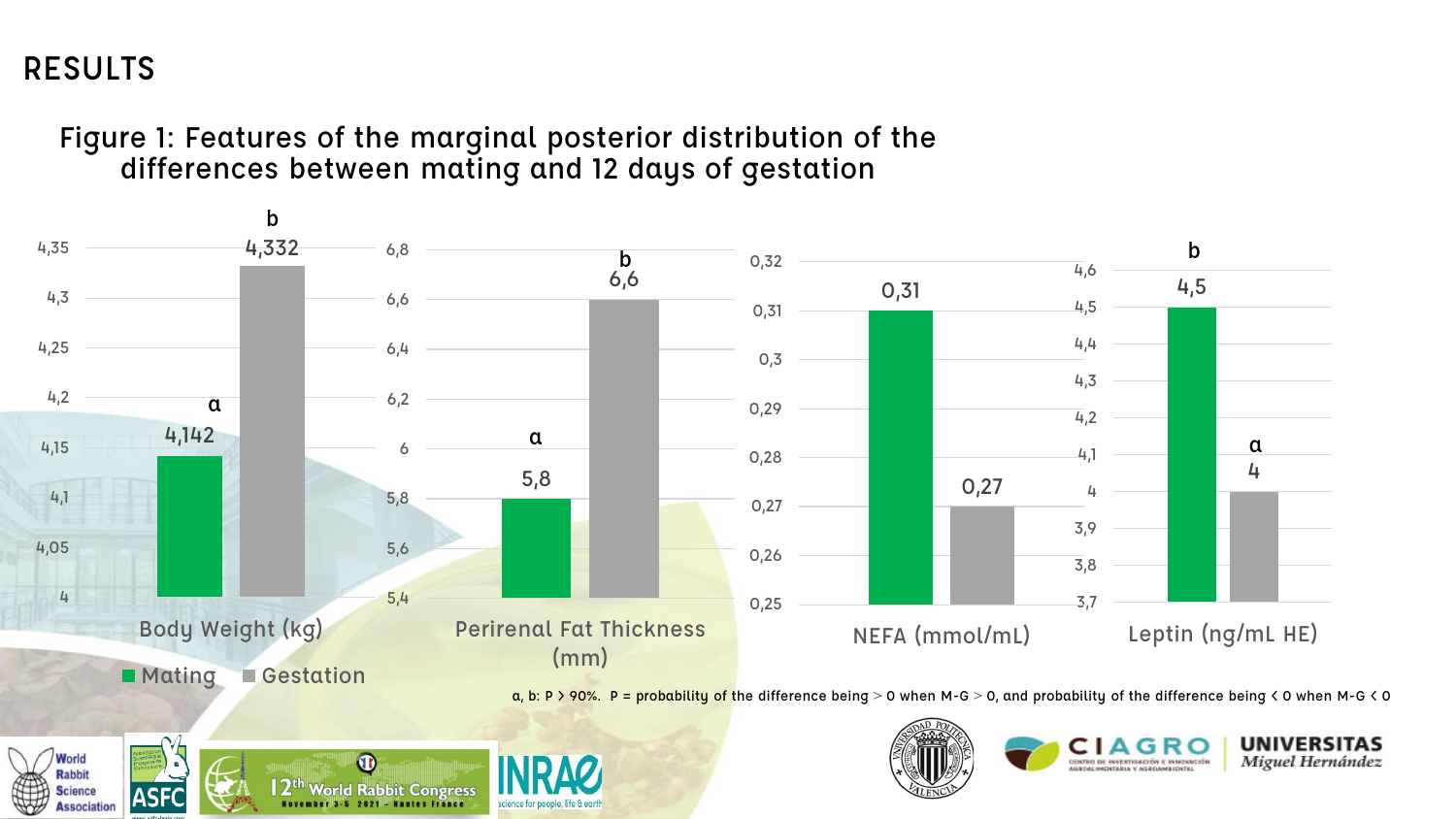## RESULTS

**Association** 

Figure 1: Features of the marginal posterior distribution of the differences between mating and 12 days of gestation

November 3-5 2021 - Nantes France

science for people, life & earth

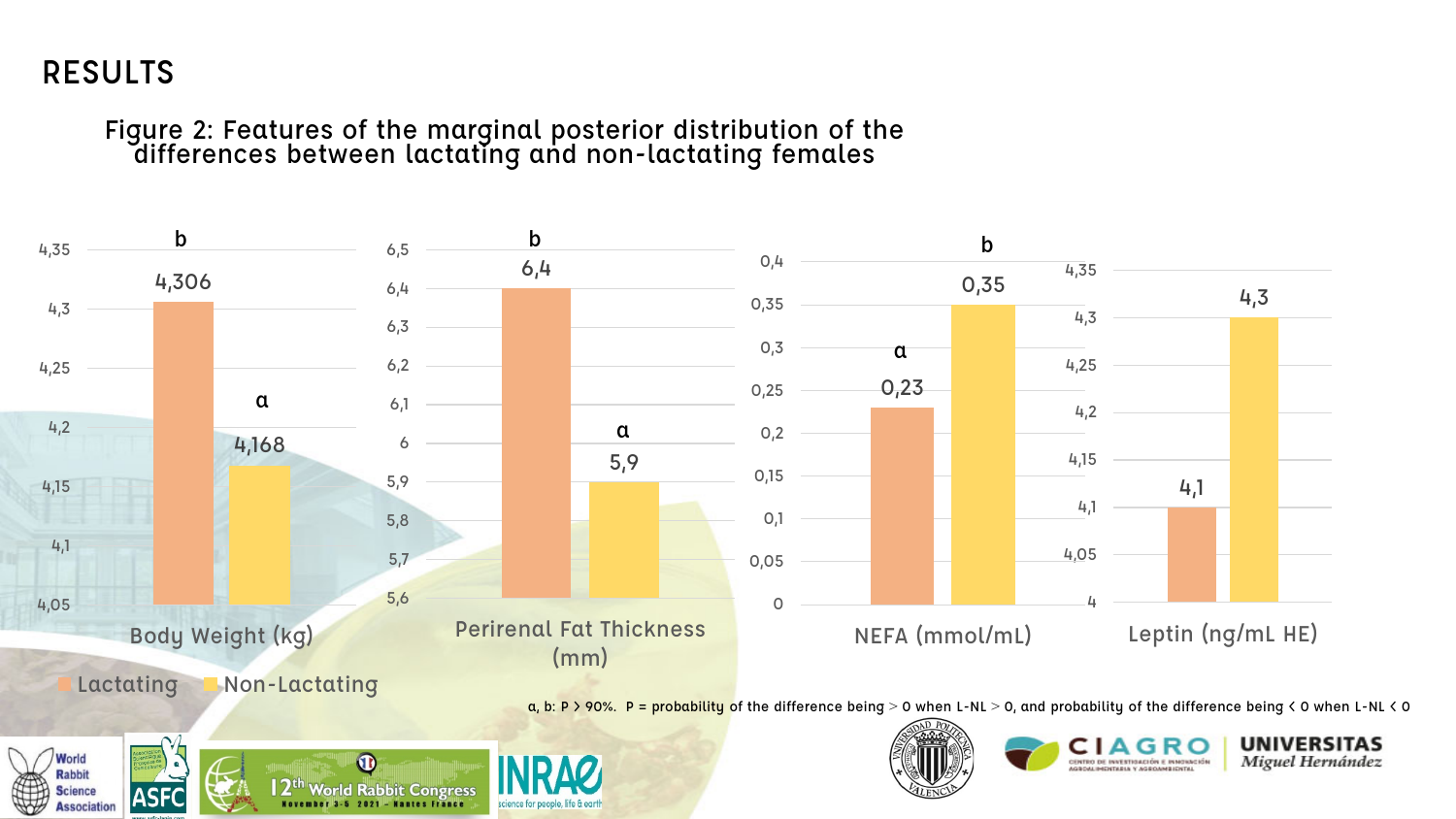## RESULTS

Figure 2: Features of the marginal posterior distribution of the differences between lactating and non-lactating females

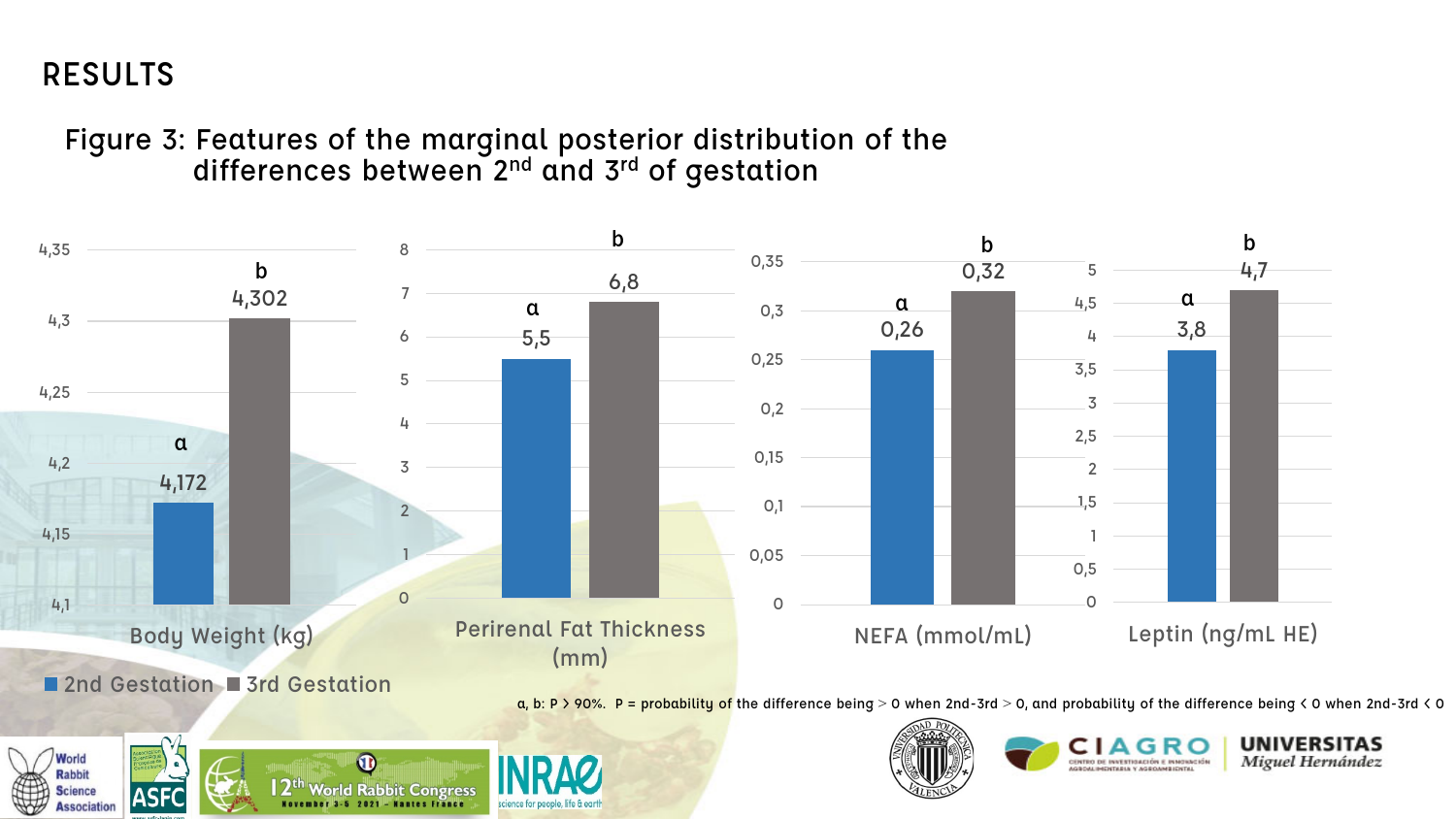## RESULTS

**Science** 

**Association** 

Figure 3: Features of the marginal posterior distribution of the differences between 2<sup>nd</sup> and 3<sup>rd</sup> of gestation



CENTRO DE INVESTIGACIÓN E INMOVACIÓN AGROM INCHTABLE Y AGROMNEICHTAL

 $\bf \Phi$  $\mathsf{I} \, \mathsf{2}^\mathsf{th}$  World Rabbit Congress **ASFC** 2021 - Wantes France

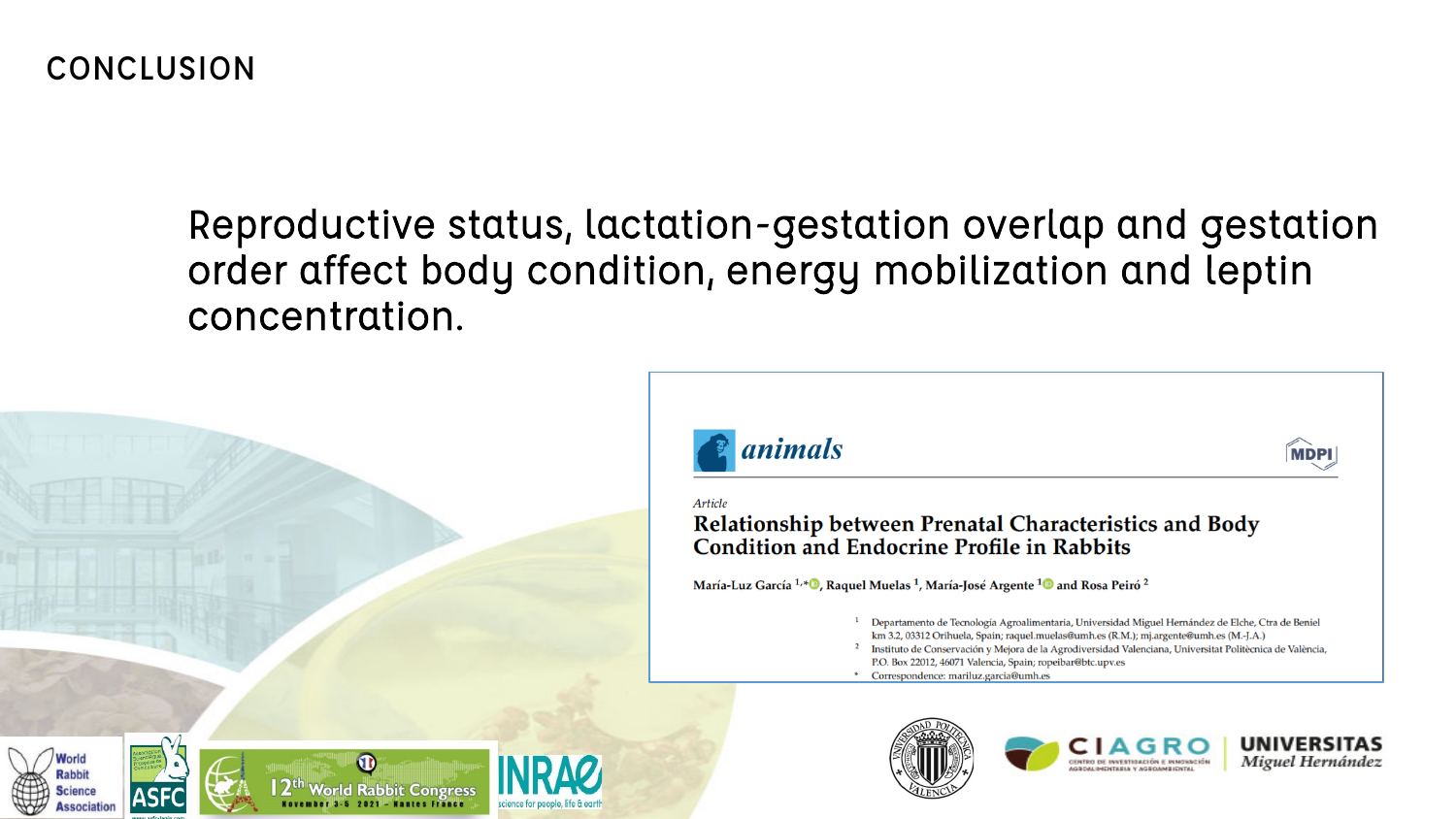## Reproductive status, lactation-gestation overlap and gestation order affect body condition, energy mobilization and leptin concentration.